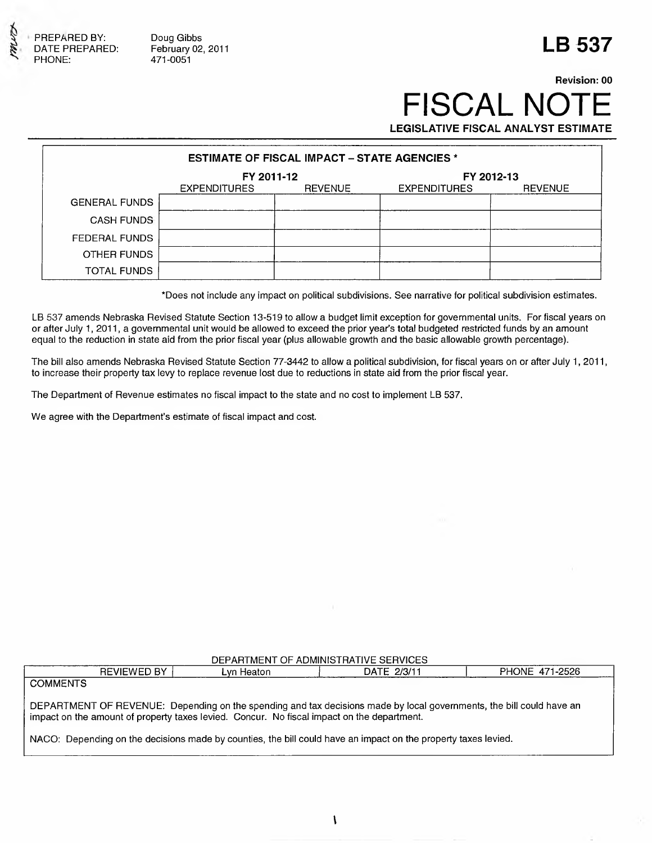

Doug Gibbs February 02, 2011 471-0051

## **LB 537**

### **Revision: 00 FISCAL NOT** LEGISLATIVE FISCAL ANALYST ESTIMATE

| <b>ESTIMATE OF FISCAL IMPACT - STATE AGENCIES *</b> |                          |                |                     |                |  |
|-----------------------------------------------------|--------------------------|----------------|---------------------|----------------|--|
|                                                     | FY 2011-12<br>FY 2012-13 |                |                     |                |  |
|                                                     | <b>EXPENDITURES</b>      | <b>REVENUE</b> | <b>EXPENDITURES</b> | <b>REVENUE</b> |  |
| <b>GENERAL FUNDS</b>                                |                          |                |                     |                |  |
| <b>CASH FUNDS</b>                                   |                          |                |                     |                |  |
| <b>FEDERAL FUNDS</b>                                |                          |                |                     |                |  |
| OTHER FUNDS                                         |                          |                |                     |                |  |
| <b>TOTAL FUNDS</b>                                  |                          |                |                     |                |  |

\*Does not include any im pact on political subdivisions. See narrative for political subdivision estim ates.

LB 537 amends Nebraska Revised Statute Section 13-519 to allow a budget limit exception for governmental units. For fiscal years on or after July 1, 2011, a governmental unit would be allowed to exceed the prior year's total budgeted restricted funds by an amount equal to the reduction in state aid from the prior fiscal year (plus allowable growth and the basic allowable growth percentage).

The bill also amends Nebraska Revised Statute Section 77-3442 to allow a political subdivision, for fiscal years on or after July 1, 2011, to increase their property tax levy to replace revenue lost due to reductions in state aid from the prior fiscal year.

The Department of Revenue estimates no fiscal impact to the state and no cost to implement LB 537.

We agree with the Department's estimate of fiscal impact and cost.

| DEPARTMENT OF ADMINISTRATIVE SERVICES                                                                                                                                                                              |            |             |                |  |  |  |
|--------------------------------------------------------------------------------------------------------------------------------------------------------------------------------------------------------------------|------------|-------------|----------------|--|--|--|
| <b>REVIEWED BY</b>                                                                                                                                                                                                 | Lvn Heaton | DATE 2/3/11 | PHONE 471-2526 |  |  |  |
| <b>COMMENTS</b>                                                                                                                                                                                                    |            |             |                |  |  |  |
| DEPARTMENT OF REVENUE: Depending on the spending and tax decisions made by local governments, the bill could have an<br>impact on the amount of property taxes levied. Concur. No fiscal impact on the department. |            |             |                |  |  |  |
| NACO: Depending on the decisions made by counties, the bill could have an impact on the property taxes levied.                                                                                                     |            |             |                |  |  |  |
|                                                                                                                                                                                                                    |            |             |                |  |  |  |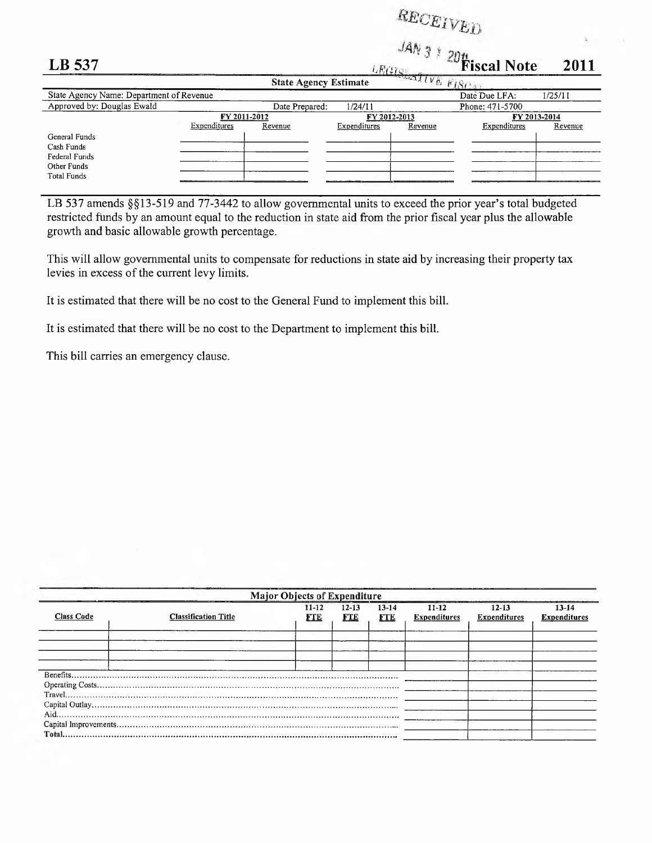# $_{RECEIVED}$

| LB 537                                   |              |                              |              | $\sim$ $\alpha$ $\sim$<br>LRG | <b>Example 1</b> Fiscal Note | 2011    |
|------------------------------------------|--------------|------------------------------|--------------|-------------------------------|------------------------------|---------|
|                                          |              | <b>State Agency Estimate</b> |              | Scalive FISOS                 |                              |         |
| State Agency Name: Department of Revenue |              |                              |              |                               | Date Due LFA:                | 1/25/11 |
| Approved by: Douglas Ewald               |              | Date Prepared:               | 1/24/11      |                               | Phone: 471-5700              |         |
|                                          | FY 2011-2012 |                              |              | FY 2012-2013                  | FY 2013-2014                 |         |
|                                          | Expenditures | Revenue                      | Expenditures | Revenue                       | Expenditures                 | Revenue |
| General Funds                            |              |                              |              |                               |                              |         |
| Cash Funds                               |              |                              |              |                               |                              |         |
| Federal Funds                            |              |                              |              |                               |                              |         |
| Other Funds                              |              |                              |              |                               |                              |         |
| Total Funds                              |              |                              |              |                               |                              |         |
|                                          |              |                              |              |                               |                              |         |

LB 537 amends  $\S$ [13-519 and 77-3442 to allow governmental units to exceed the prior year's total budgeted restricted funds by an amount equal to the reduction in state aid from the prior fiscal year plus the allowable growth and basic allowable growth percentage.

This will allow governmental units to compensate for reductions in state aid by increasing their property tax levies in excess of the current levy limits.

It is estimated that there will be no cost to the General Fund to implement this bill.

It is estimated that there will be no cost to the Department to implement this bill.

This bill carries an emergency clause.

| <b>Major Objects of Expenditure</b> |                             |                         |                         |                         |                                  |                                  |                              |
|-------------------------------------|-----------------------------|-------------------------|-------------------------|-------------------------|----------------------------------|----------------------------------|------------------------------|
| <b>Class Code</b>                   | <b>Classification Title</b> | $11 - 12$<br><b>FTE</b> | $12 - 13$<br><b>FTE</b> | $13 - 14$<br><b>FTE</b> | $11 - 12$<br><b>Expenditures</b> | $12 - 13$<br><b>Expenditures</b> | 13-14<br><b>Expenditures</b> |
|                                     |                             |                         |                         |                         |                                  |                                  |                              |
|                                     |                             |                         |                         |                         |                                  |                                  |                              |
|                                     |                             |                         |                         |                         |                                  |                                  |                              |
|                                     |                             |                         |                         |                         |                                  |                                  |                              |
|                                     |                             |                         |                         |                         |                                  |                                  |                              |